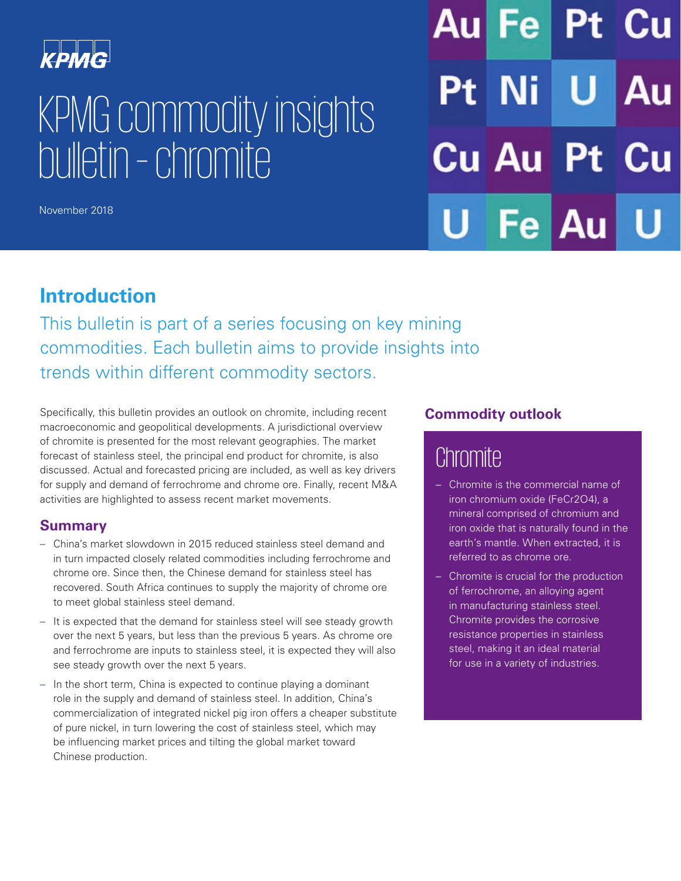

# KPMG commodity insights bulletin – chromite

November 2018

Au Fel **Ni Cu Au Pt Au** Fel

# **Introduction**

This bulletin is part of a series focusing on key mining commodities. Each bulletin aims to provide insights into trends within different commodity sectors.

Specifically, this bulletin provides an outlook on chromite, including recent macroeconomic and geopolitical developments. A jurisdictional overview of chromite is presented for the most relevant geographies. The market forecast of stainless steel, the principal end product for chromite, is also discussed. Actual and forecasted pricing are included, as well as key drivers for supply and demand of ferrochrome and chrome ore. Finally, recent M&A activities are highlighted to assess recent market movements.

# **Summary**

- China's market slowdown in 2015 reduced stainless steel demand and in turn impacted closely related commodities including ferrochrome and chrome ore. Since then, the Chinese demand for stainless steel has recovered. South Africa continues to supply the majority of chrome ore to meet global stainless steel demand.
- It is expected that the demand for stainless steel will see steady growth over the next 5 years, but less than the previous 5 years. As chrome ore and ferrochrome are inputs to stainless steel, it is expected they will also see steady growth over the next 5 years.
- In the short term, China is expected to continue playing a dominant role in the supply and demand of stainless steel. In addition, China's commercialization of integrated nickel pig iron offers a cheaper substitute of pure nickel, in turn lowering the cost of stainless steel, which may be influencing market prices and tilting the global market toward Chinese production.

# **Commodity outlook**

# **Chromite**

- Chromite is the commercial name of iron chromium oxide (FeCr2O4), a mineral comprised of chromium and iron oxide that is naturally found in the earth's mantle. When extracted, it is referred to as chrome ore.
- Chromite is crucial for the production of ferrochrome, an alloying agent in manufacturing stainless steel. Chromite provides the corrosive resistance properties in stainless steel, making it an ideal material for use in a variety of industries.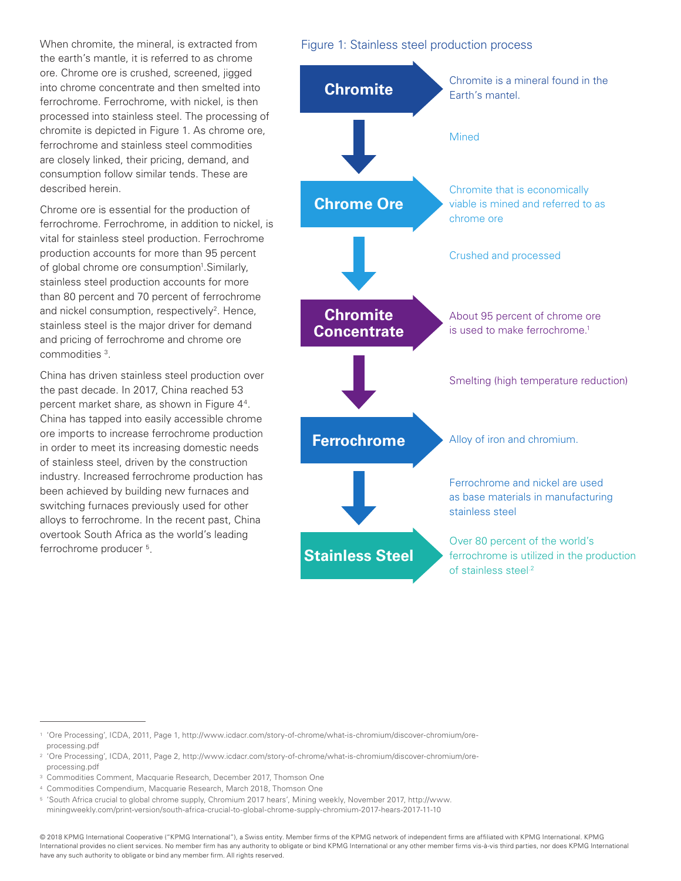When chromite, the mineral, is extracted from the earth's mantle, it is referred to as chrome ore. Chrome ore is crushed, screened, jigged into chrome concentrate and then smelted into ferrochrome. Ferrochrome, with nickel, is then processed into stainless steel. The processing of chromite is depicted in Figure 1. As chrome ore, ferrochrome and stainless steel commodities are closely linked, their pricing, demand, and consumption follow similar tends. These are described herein.

Chrome ore is essential for the production of ferrochrome. Ferrochrome, in addition to nickel, is vital for stainless steel production. Ferrochrome production accounts for more than 95 percent of global chrome ore consumption<sup>1</sup>. Similarly, stainless steel production accounts for more than 80 percent and 70 percent of ferrochrome and nickel consumption, respectively<sup>2</sup>. Hence, stainless steel is the major driver for demand and pricing of ferrochrome and chrome ore commodities 3.

China has driven stainless steel production over the past decade. In 2017, China reached 53 percent market share, as shown in Figure 44. China has tapped into easily accessible chrome ore imports to increase ferrochrome production in order to meet its increasing domestic needs of stainless steel, driven by the construction industry. Increased ferrochrome production has been achieved by building new furnaces and switching furnaces previously used for other alloys to ferrochrome. In the recent past, China overtook South Africa as the world's leading ferrochrome producer 5.

#### Figure 1: Stainless steel production process



<sup>1</sup> 'Ore Processing', ICDA, 2011, Page 1, http://www.icdacr.com/story-of-chrome/what-is-chromium/discover-chromium/oreprocessing.pdf

<sup>2</sup> 'Ore Processing', ICDA, 2011, Page 2, http://www.icdacr.com/story-of-chrome/what-is-chromium/discover-chromium/oreprocessing.pdf

<sup>&</sup>lt;sup>3</sup> Commodities Comment, Macquarie Research, December 2017, Thomson One

<sup>4</sup> Commodities Compendium, Macquarie Research, March 2018, Thomson One

<sup>5</sup> 'South Africa crucial to global chrome supply, Chromium 2017 hears', Mining weekly, November 2017, [http://www.](http://www.miningweekly.com/print-version/south-africa-crucial-to-global-chrome-supply-chromium-2017-hears-2017-11-10)

[miningweekly.com/print-version/south-africa-crucial-to-global-chrome-supply-chromium-2017-hears-2017-11-10](http://www.miningweekly.com/print-version/south-africa-crucial-to-global-chrome-supply-chromium-2017-hears-2017-11-10)

<sup>© 2018</sup> KPMG International Cooperative ("KPMG International"), a Swiss entity. Member firms of the KPMG network of independent firms are affiliated with KPMG International. KPMG International provides no client services. No member firm has any authority to obligate or bind KPMG International or any other member firms vis-à-vis third parties, nor does KPMG International have any such authority to obligate or bind any member firm. All rights reserved.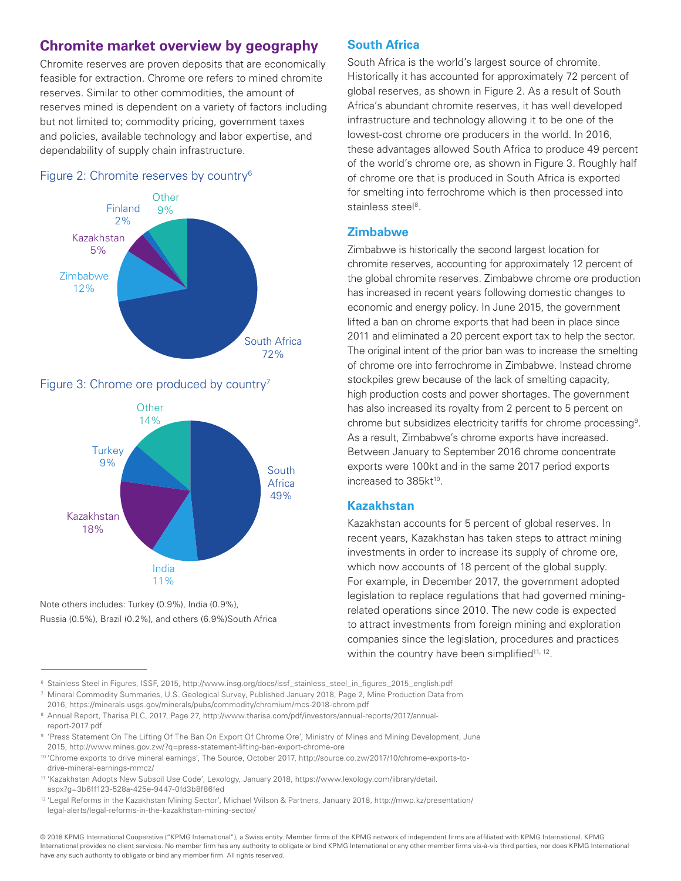# **Chromite market overview by geography**

Chromite reserves are proven deposits that are economically feasible for extraction. Chrome ore refers to mined chromite reserves. Similar to other commodities, the amount of reserves mined is dependent on a variety of factors including but not limited to; commodity pricing, government taxes and policies, available technology and labor expertise, and dependability of supply chain infrastructure.

#### Figure 2: Chromite reserves by country6



#### Figure 3: Chrome ore produced by country<sup>7</sup>



Note others includes: Turkey (0.9%), India (0.9%), Russia (0.5%), Brazil (0.2%), and others (6.9%)South Africa

#### **South Africa**

South Africa is the world's largest source of chromite. Historically it has accounted for approximately 72 percent of global reserves, as shown in Figure 2. As a result of South Africa's abundant chromite reserves, it has well developed infrastructure and technology allowing it to be one of the lowest-cost chrome ore producers in the world. In 2016, these advantages allowed South Africa to produce 49 percent of the world's chrome ore, as shown in Figure 3. Roughly half of chrome ore that is produced in South Africa is exported for smelting into ferrochrome which is then processed into stainless steel<sup>8</sup>

#### **Zimbabwe**

Zimbabwe is historically the second largest location for chromite reserves, accounting for approximately 12 percent of the global chromite reserves. Zimbabwe chrome ore production has increased in recent years following domestic changes to economic and energy policy. In June 2015, the government lifted a ban on chrome exports that had been in place since 2011 and eliminated a 20 percent export tax to help the sector. The original intent of the prior ban was to increase the smelting of chrome ore into ferrochrome in Zimbabwe. Instead chrome stockpiles grew because of the lack of smelting capacity, high production costs and power shortages. The government has also increased its royalty from 2 percent to 5 percent on chrome but subsidizes electricity tariffs for chrome processing9. As a result, Zimbabwe's chrome exports have increased. Between January to September 2016 chrome concentrate exports were 100kt and in the same 2017 period exports increased to 385kt<sup>10</sup>.

#### **Kazakhstan**

Kazakhstan accounts for 5 percent of global reserves. In recent years, Kazakhstan has taken steps to attract mining investments in order to increase its supply of chrome ore, which now accounts of 18 percent of the global supply. For example, in December 2017, the government adopted legislation to replace regulations that had governed miningrelated operations since 2010. The new code is expected to attract investments from foreign mining and exploration companies since the legislation, procedures and practices within the country have been simplified<sup>11, 12</sup>.

<sup>7</sup> Mineral Commodity Summaries, U.S. Geological Survey, Published January 2018, Page 2, Mine Production Data from

2016, https://minerals.usgs.gov/minerals/pubs/commodity/chromium/mcs-2018-chrom.pdf

<sup>8</sup> Annual Report, Tharisa PLC, 2017, Page 27, http://www.tharisa.com/pdf/investors/annual-reports/2017/annualreport-2017.pdf

© 2018 KPMG International Cooperative ("KPMG International"), a Swiss entity. Member firms of the KPMG network of independent firms are affiliated with KPMG International. KPMG International provides no client services. No member firm has any authority to obligate or bind KPMG International or any other member firms vis-à-vis third parties, nor does KPMG International have any such authority to obligate or bind any member firm. All rights reserved.

<sup>6</sup> Stainless Steel in Figures, ISSF, 2015, http://www.insg.org/docs/issf\_stainless\_steel\_in\_figures\_2015\_english.pdf

<sup>9</sup> 'Press Statement On The Lifting Of The Ban On Export Of Chrome Ore', Ministry of Mines and Mining Development, June 2015, http://www.mines.gov.zw/?q=press-statement-lifting-ban-export-chrome-ore

<sup>10</sup> 'Chrome exports to drive mineral earnings', The Source, October 2017, http://source.co.zw/2017/10/chrome-exports-todrive-mineral-earnings-mmcz/

<sup>11</sup> 'Kazakhstan Adopts New Subsoil Use Code', Lexology, January 2018, [https://www.lexology.com/library/detail.](https://www.lexology.com/library/detail.aspx?g=3b6ff123-528a-425e-9447-0fd3b8f86fed) [aspx?g=3b6ff123-528a-425e-9447-0fd3b8f86fed](https://www.lexology.com/library/detail.aspx?g=3b6ff123-528a-425e-9447-0fd3b8f86fed)

<sup>12</sup> 'Legal Reforms in the Kazakhstan Mining Sector', Michael Wilson & Partners, January 2018, http://mwp.kz/presentation/ legal-alerts/legal-reforms-in-the-kazakhstan-mining-sector/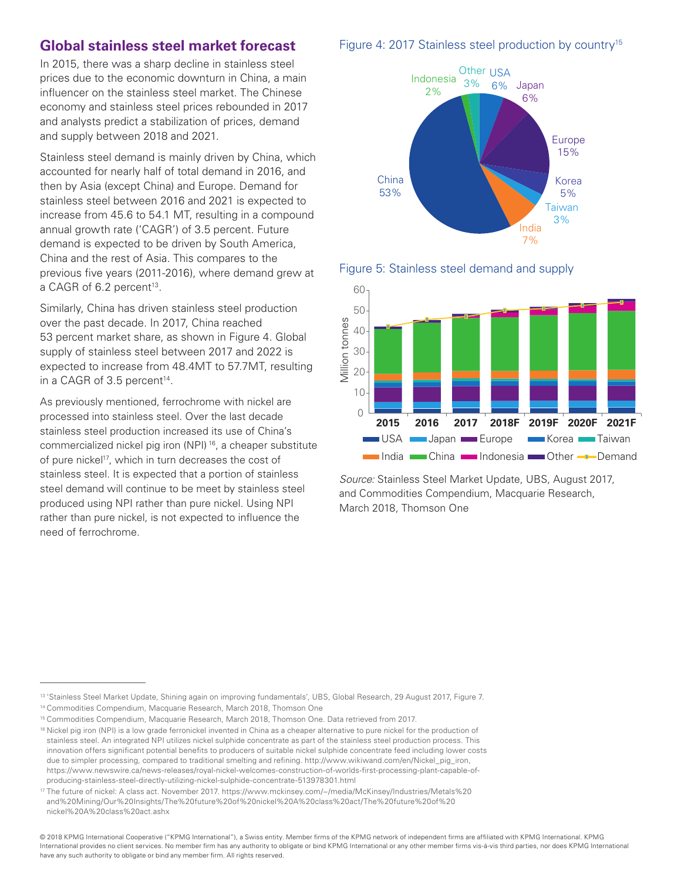### **Global stainless steel market forecast**

In 2015, there was a sharp decline in stainless steel prices due to the economic downturn in China, a main influencer on the stainless steel market. The Chinese economy and stainless steel prices rebounded in 2017 and analysts predict a stabilization of prices, demand and supply between 2018 and 2021.

Stainless steel demand is mainly driven by China, which accounted for nearly half of total demand in 2016, and then by Asia (except China) and Europe. Demand for stainless steel between 2016 and 2021 is expected to increase from 45.6 to 54.1 MT, resulting in a compound annual growth rate ('CAGR') of 3.5 percent. Future demand is expected to be driven by South America, China and the rest of Asia. This compares to the previous five years (2011-2016), where demand grew at a CAGR of 6.2 percent<sup>13</sup>.

Similarly, China has driven stainless steel production over the past decade. In 2017, China reached 53 percent market share, as shown in Figure 4. Global supply of stainless steel between 2017 and 2022 is expected to increase from 48.4MT to 57.7MT, resulting in a CAGR of 3.5 percent $14$ .

As previously mentioned, ferrochrome with nickel are processed into stainless steel. Over the last decade stainless steel production increased its use of China's commercialized nickel pig iron (NPI) 16, a cheaper substitute of pure nickel<sup>17</sup>, which in turn decreases the cost of stainless steel. It is expected that a portion of stainless steel demand will continue to be meet by stainless steel produced using NPI rather than pure nickel. Using NPI rather than pure nickel, is not expected to influence the need of ferrochrome.







*Source:* Stainless Steel Market Update, UBS, August 2017, and Commodities Compendium, Macquarie Research, March 2018, Thomson One

#### Figure 4: 2017 Stainless steel production by country<sup>15</sup>

<sup>13 &#</sup>x27;Stainless Steel Market Update, Shining again on improving fundamentals', UBS, Global Research, 29 August 2017, Figure 7.

<sup>14</sup> Commodities Compendium, Macquarie Research, March 2018, Thomson One

<sup>15</sup> Commodities Compendium, Macquarie Research, March 2018, Thomson One. Data retrieved from 2017.

<sup>&</sup>lt;sup>16</sup> Nickel pig iron (NPI) is a low grade ferronickel invented in China as a cheaper alternative to pure nickel for the production of stainless steel. An integrated NPI utilizes nickel sulphide concentrate as part of the stainless steel production process. This innovation offers significant potential benefits to producers of suitable nickel sulphide concentrate feed including lower costs due to simpler processing, compared to traditional smelting and refining. [http://www.wikiwand.com/en/Nickel\\_pig\\_iron,](http://www.wikiwand.com/en/Nickel_pig_iron) [https://www.newswire.ca/news-releases/royal-nickel-welcomes-construction-of-worlds-first-processing-plant-capable-of](https://www.newswire.ca/news-releases/royal-nickel-welcomes-construction-of-worlds-first-processing-plant-capable-of-producing-stainless-steel-directly-utilizing-nickel-sulphide-concentrate-513978301.html)[producing-stainless-steel-directly-utilizing-nickel-sulphide-concentrate-513978301.html](https://www.newswire.ca/news-releases/royal-nickel-welcomes-construction-of-worlds-first-processing-plant-capable-of-producing-stainless-steel-directly-utilizing-nickel-sulphide-concentrate-513978301.html)

<sup>17</sup> The future of nickel: A class act. November 2017. [https://www.mckinsey.com/~/media/McKinsey/Industries/Metals%20](https://www.mckinsey.com/~/media/McKinsey/Industries/Metals%20and%20Mining/Our%20Insights/The%20future%20of%20nickel%20A%20class%20act/The%20future%20of%20nickel%20A%20class%20act.ashx) [and%20Mining/Our%20Insights/The%20future%20of%20nickel%20A%20class%20act/The%20future%20of%20](https://www.mckinsey.com/~/media/McKinsey/Industries/Metals%20and%20Mining/Our%20Insights/The%20future%20of%20nickel%20A%20class%20act/The%20future%20of%20nickel%20A%20class%20act.ashx) [nickel%20A%20class%20act.ashx](https://www.mckinsey.com/~/media/McKinsey/Industries/Metals%20and%20Mining/Our%20Insights/The%20future%20of%20nickel%20A%20class%20act/The%20future%20of%20nickel%20A%20class%20act.ashx)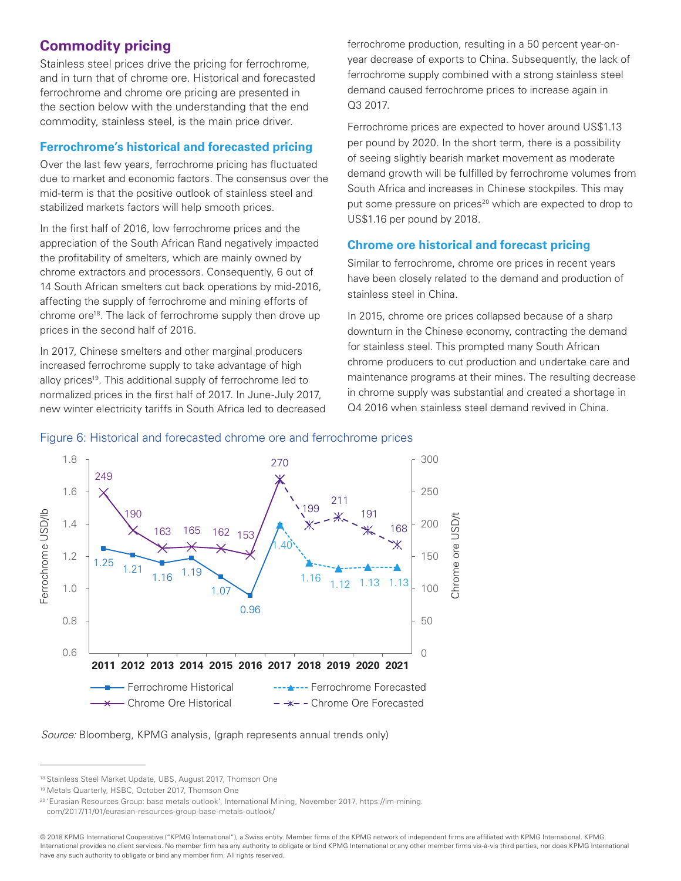# **Commodity pricing**

Stainless steel prices drive the pricing for ferrochrome, and in turn that of chrome ore. Historical and forecasted ferrochrome and chrome ore pricing are presented in the section below with the understanding that the end commodity, stainless steel, is the main price driver.

#### **Ferrochrome's historical and forecasted pricing**

Over the last few years, ferrochrome pricing has fluctuated due to market and economic factors. The consensus over the mid-term is that the positive outlook of stainless steel and stabilized markets factors will help smooth prices.

In the first half of 2016, low ferrochrome prices and the appreciation of the South African Rand negatively impacted the profitability of smelters, which are mainly owned by chrome extractors and processors. Consequently, 6 out of 14 South African smelters cut back operations by mid-2016, affecting the supply of ferrochrome and mining efforts of chrome ore<sup>18</sup>. The lack of ferrochrome supply then drove up prices in the second half of 2016.

In 2017, Chinese smelters and other marginal producers increased ferrochrome supply to take advantage of high alloy prices<sup>19</sup>. This additional supply of ferrochrome led to normalized prices in the first half of 2017. In June-July 2017, new winter electricity tariffs in South Africa led to decreased ferrochrome production, resulting in a 50 percent year-onyear decrease of exports to China. Subsequently, the lack of ferrochrome supply combined with a strong stainless steel demand caused ferrochrome prices to increase again in Q3 2017.

Ferrochrome prices are expected to hover around US\$1.13 per pound by 2020. In the short term, there is a possibility of seeing slightly bearish market movement as moderate demand growth will be fulfilled by ferrochrome volumes from South Africa and increases in Chinese stockpiles. This may put some pressure on prices<sup>20</sup> which are expected to drop to US\$1.16 per pound by 2018.

#### **Chrome ore historical and forecast pricing**

Similar to ferrochrome, chrome ore prices in recent years have been closely related to the demand and production of stainless steel in China.

In 2015, chrome ore prices collapsed because of a sharp downturn in the Chinese economy, contracting the demand for stainless steel. This prompted many South African chrome producers to cut production and undertake care and maintenance programs at their mines. The resulting decrease in chrome supply was substantial and created a shortage in Q4 2016 when stainless steel demand revived in China.



#### Figure 6: Historical and forecasted chrome ore and ferrochrome prices

*Source:* Bloomberg, KPMG analysis, (graph represents annual trends only)

<sup>18</sup> Stainless Steel Market Update, UBS, August 2017, Thomson One

<sup>19</sup> Metals Quarterly, HSBC, October 2017, Thomson One

<sup>20</sup> 'Eurasian Resources Group: base metals outlook', International Mining, November 2017, [https://im-mining.](https://im-mining.com/2017/11/01/eurasian-resources-group-base-metals-outlook/) [com/2017/11/01/eurasian-resources-group-base-metals-outlook/](https://im-mining.com/2017/11/01/eurasian-resources-group-base-metals-outlook/)

<sup>© 2018</sup> KPMG International Cooperative ("KPMG International"), a Swiss entity. Member firms of the KPMG network of independent firms are affiliated with KPMG International. KPMG International provides no client services. No member firm has any authority to obligate or bind KPMG International or any other member firms vis-à-vis third parties, nor does KPMG International have any such authority to obligate or bind any member firm. All rights reserved.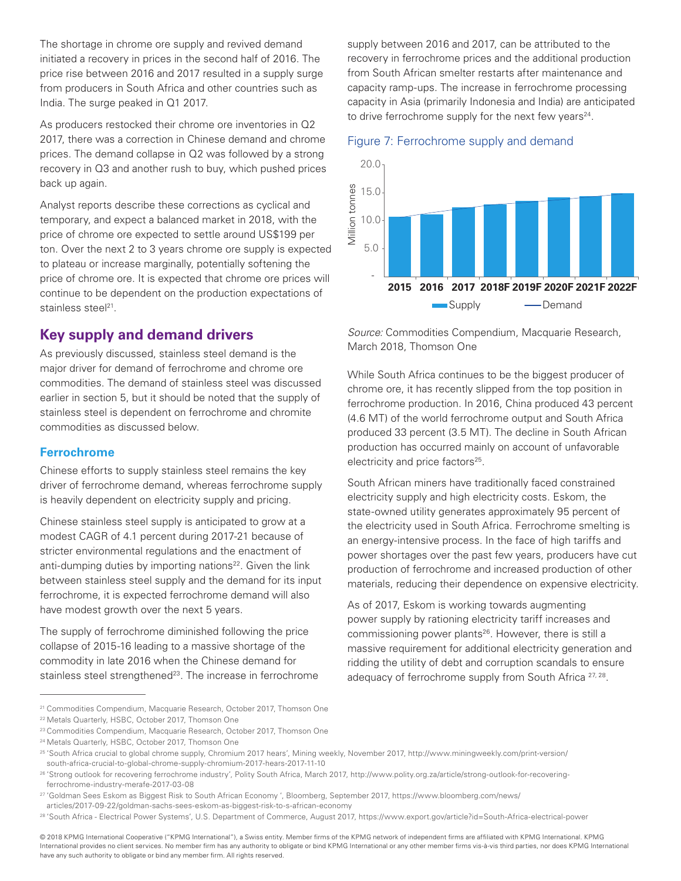The shortage in chrome ore supply and revived demand initiated a recovery in prices in the second half of 2016. The price rise between 2016 and 2017 resulted in a supply surge from producers in South Africa and other countries such as India. The surge peaked in Q1 2017.

As producers restocked their chrome ore inventories in Q2 2017, there was a correction in Chinese demand and chrome prices. The demand collapse in Q2 was followed by a strong recovery in Q3 and another rush to buy, which pushed prices back up again.

Analyst reports describe these corrections as cyclical and temporary, and expect a balanced market in 2018, with the price of chrome ore expected to settle around US\$199 per ton. Over the next 2 to 3 years chrome ore supply is expected to plateau or increase marginally, potentially softening the price of chrome ore. It is expected that chrome ore prices will continue to be dependent on the production expectations of stainless steel<sup>21</sup>.

## **Key supply and demand drivers**

As previously discussed, stainless steel demand is the major driver for demand of ferrochrome and chrome ore commodities. The demand of stainless steel was discussed earlier in section 5, but it should be noted that the supply of stainless steel is dependent on ferrochrome and chromite commodities as discussed below.

#### **Ferrochrome**

Chinese efforts to supply stainless steel remains the key driver of ferrochrome demand, whereas ferrochrome supply is heavily dependent on electricity supply and pricing.

Chinese stainless steel supply is anticipated to grow at a modest CAGR of 4.1 percent during 2017-21 because of stricter environmental regulations and the enactment of anti-dumping duties by importing nations<sup>22</sup>. Given the link between stainless steel supply and the demand for its input ferrochrome, it is expected ferrochrome demand will also have modest growth over the next 5 years.

The supply of ferrochrome diminished following the price collapse of 2015-16 leading to a massive shortage of the commodity in late 2016 when the Chinese demand for stainless steel strengthened<sup>23</sup>. The increase in ferrochrome supply between 2016 and 2017, can be attributed to the recovery in ferrochrome prices and the additional production from South African smelter restarts after maintenance and capacity ramp-ups. The increase in ferrochrome processing capacity in Asia (primarily Indonesia and India) are anticipated to drive ferrochrome supply for the next few years<sup>24</sup>.

#### Figure 7: Ferrochrome supply and demand



*Source:* Commodities Compendium, Macquarie Research, March 2018, Thomson One

While South Africa continues to be the biggest producer of chrome ore, it has recently slipped from the top position in ferrochrome production. In 2016, China produced 43 percent (4.6 MT) of the world ferrochrome output and South Africa produced 33 percent (3.5 MT). The decline in South African production has occurred mainly on account of unfavorable electricity and price factors<sup>25</sup>.

South African miners have traditionally faced constrained electricity supply and high electricity costs. Eskom, the state-owned utility generates approximately 95 percent of the electricity used in South Africa. Ferrochrome smelting is an energy-intensive process. In the face of high tariffs and power shortages over the past few years, producers have cut production of ferrochrome and increased production of other materials, reducing their dependence on expensive electricity.

As of 2017, Eskom is working towards augmenting power supply by rationing electricity tariff increases and commissioning power plants<sup>26</sup>. However, there is still a massive requirement for additional electricity generation and ridding the utility of debt and corruption scandals to ensure adequacy of ferrochrome supply from South Africa <sup>27, 28</sup>.

<sup>21</sup> Commodities Compendium, Macquarie Research, October 2017, Thomson One

<sup>22</sup> Metals Quarterly, HSBC, October 2017, Thomson One

<sup>23</sup> Commodities Compendium, Macquarie Research, October 2017, Thomson One

<sup>24</sup> Metals Quarterly, HSBC, October 2017, Thomson One

<sup>25</sup> 'South Africa crucial to global chrome supply, Chromium 2017 hears', Mining weekly, November 2017, [http://www.miningweekly.com/print-version/](http://www.miningweekly.com/print-version/south-africa-crucial-to-global-chrome-supply-chromium-2017-hears-2017-11-10) [south-africa-crucial-to-global-chrome-supply-chromium-2017-hears-2017-11-10](http://www.miningweekly.com/print-version/south-africa-crucial-to-global-chrome-supply-chromium-2017-hears-2017-11-10)

<sup>26</sup> 'Strong outlook for recovering ferrochrome industry', Polity South Africa, March 2017, [http://www.polity.org.za/article/strong-outlook-for-recovering](http://www.polity.org.za/article/strong-outlook-for-recovering-ferrochrome-industry-merafe-2017-03-08)[ferrochrome-industry-merafe-2017-03-08](http://www.polity.org.za/article/strong-outlook-for-recovering-ferrochrome-industry-merafe-2017-03-08)

<sup>27</sup> 'Goldman Sees Eskom as Biggest Risk to South African Economy ', Bloomberg, September 2017, [https://www.bloomberg.com/news/](https://www.bloomberg.com/news/articles/2017-09-22/goldman-sachs-sees-eskom-as-biggest-risk-to-s-african-economy)

[articles/2017-09-22/goldman-sachs-sees-eskom-as-biggest-risk-to-s-african-economy](https://www.bloomberg.com/news/articles/2017-09-22/goldman-sachs-sees-eskom-as-biggest-risk-to-s-african-economy)

<sup>28</sup> 'South Africa - Electrical Power Systems', U.S. Department of Commerce, August 2017, https://www.export.gov/article?id=South-Africa-electrical-power

<sup>© 2018</sup> KPMG International Cooperative ("KPMG International"), a Swiss entity. Member firms of the KPMG network of independent firms are affiliated with KPMG International. KPMG International provides no client services. No member firm has any authority to obligate or bind KPMG International or any other member firms vis-à-vis third parties, nor does KPMG International have any such authority to obligate or bind any member firm. All rights reserved.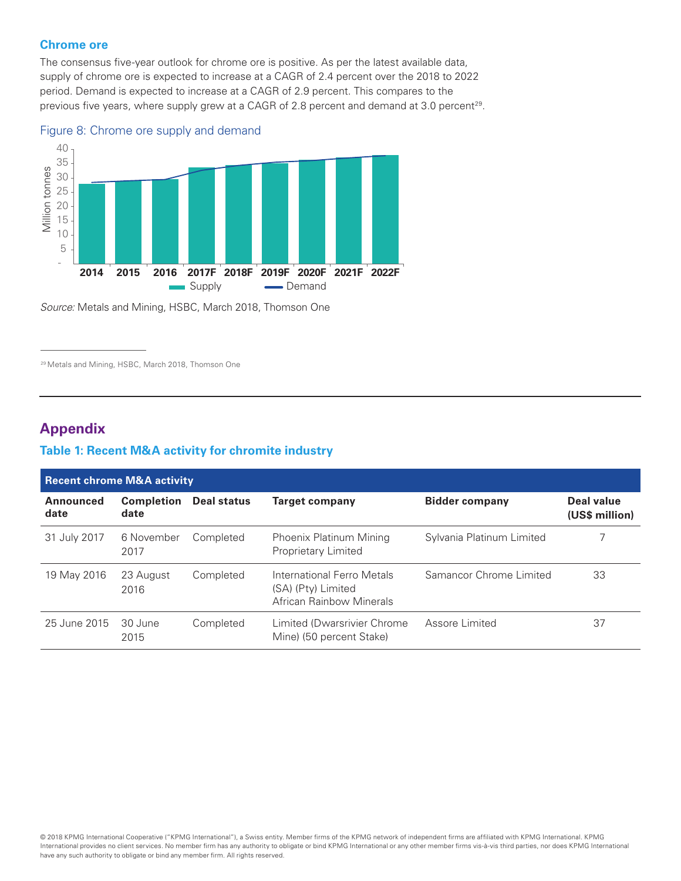#### **Chrome ore**

The consensus five-year outlook for chrome ore is positive. As per the latest available data, supply of chrome ore is expected to increase at a CAGR of 2.4 percent over the 2018 to 2022 period. Demand is expected to increase at a CAGR of 2.9 percent. This compares to the previous five years, where supply grew at a CAGR of 2.8 percent and demand at 3.0 percent<sup>29</sup>.





*Source:* Metals and Mining, HSBC, March 2018, Thomson One

<sup>29</sup> Metals and Mining, HSBC, March 2018, Thomson One

## **Appendix**

#### **Table 1: Recent M&A activity for chromite industry**

| <b>Recent chrome M&amp;A activity</b> |                           |                    |                                                                              |                           |                              |
|---------------------------------------|---------------------------|--------------------|------------------------------------------------------------------------------|---------------------------|------------------------------|
| <b>Announced</b><br>date              | <b>Completion</b><br>date | <b>Deal status</b> | <b>Target company</b>                                                        | <b>Bidder company</b>     | Deal value<br>(US\$ million) |
| 31 July 2017                          | 6 November<br>2017        | Completed          | Phoenix Platinum Mining<br>Proprietary Limited                               | Sylvania Platinum Limited |                              |
| 19 May 2016                           | 23 August<br>2016         | Completed          | International Ferro Metals<br>(SA) (Pty) Limited<br>African Rainbow Minerals | Samancor Chrome Limited   | 33                           |
| 25 June 2015                          | -30 June<br>2015          | Completed          | Limited (Dwarsrivier Chrome<br>Mine) (50 percent Stake)                      | Assore Limited            | 37                           |